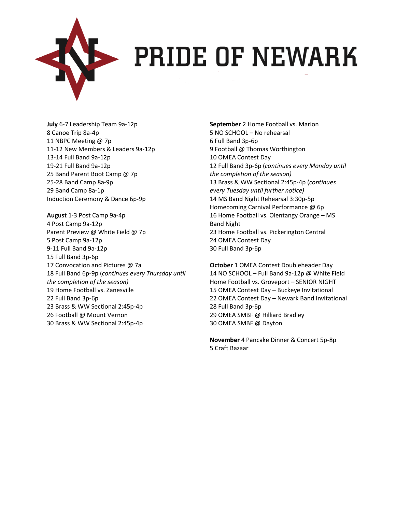

#### **> PRIDE OF NEWARK**

**July** 6-7 Leadership Team 9a-12p 8 Canoe Trip 8a-4p 11 NBPC Meeting @ 7p 11-12 New Members & Leaders 9a-12p 13-14 Full Band 9a-12p 19-21 Full Band 9a-12p 25 Band Parent Boot Camp @ 7p 25-28 Band Camp 8a-9p 29 Band Camp 8a-1p Induction Ceremony & Dance 6p-9p

**August** 1-3 Post Camp 9a-4p 4 Post Camp 9a-12p Parent Preview @ White Field @ 7p 5 Post Camp 9a-12p 9-11 Full Band 9a-12p 15 Full Band 3p-6p 17 Convocation and Pictures @ 7a 18 Full Band 6p-9p (*continues every Thursday until the completion of the season)* 19 Home Football vs. Zanesville 22 Full Band 3p-6p 23 Brass & WW Sectional 2:45p-4p 26 Football @ Mount Vernon 30 Brass & WW Sectional 2:45p-4p

**September** 2 Home Football vs. Marion 5 NO SCHOOL – No rehearsal 6 Full Band 3p-6p 9 Football @ Thomas Worthington 10 OMEA Contest Day 12 Full Band 3p-6p (*continues every Monday until the completion of the season)* 13 Brass & WW Sectional 2:45p-4p (*continues every Tuesday until further notice)* 14 MS Band Night Rehearsal 3:30p-5p Homecoming Carnival Performance @ 6p 16 Home Football vs. Olentangy Orange – MS Band Night 23 Home Football vs. Pickerington Central 24 OMEA Contest Day 30 Full Band 3p-6p

**October** 1 OMEA Contest Doubleheader Day 14 NO SCHOOL – Full Band 9a-12p @ White Field Home Football vs. Groveport – SENIOR NIGHT 15 OMEA Contest Day – Buckeye Invitational 22 OMEA Contest Day – Newark Band Invitational 28 Full Band 3p-6p 29 OMEA SMBF @ Hilliard Bradley 30 OMEA SMBF @ Dayton

**November** 4 Pancake Dinner & Concert 5p-8p 5 Craft Bazaar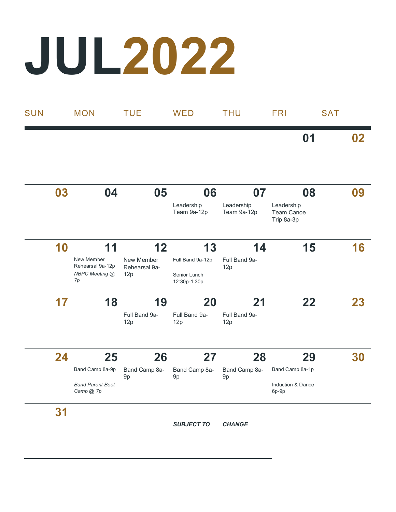# **JUL2022**

| <b>SUN</b> |    | <b>MON</b>                                                    | <b>TUE</b>                               | <b>WED</b>                                 | <b>THU</b>                      | <b>FRI</b>                                          | <b>SAT</b> |
|------------|----|---------------------------------------------------------------|------------------------------------------|--------------------------------------------|---------------------------------|-----------------------------------------------------|------------|
|            |    |                                                               |                                          |                                            |                                 | 01                                                  | 02         |
|            | 03 | 04                                                            | 05                                       | 06<br>Leadership<br>Team 9a-12p            | 07<br>Leadership<br>Team 9a-12p | 08<br>Leadership<br>Team Canoe                      | 09         |
|            | 10 | 11<br>New Member<br>Rehearsal 9a-12p<br>NBPC Meeting @        | 12<br>New Member<br>Rehearsal 9a-<br>12p | 13<br>Full Band 9a-12p<br>Senior Lunch     | 14<br>Full Band 9a-<br>12p      | Trip 8a-3p<br>15                                    | 16         |
|            | 17 | 7p<br>18                                                      | 19<br>Full Band 9a-<br>12p               | 12:30p-1:30p<br>20<br>Full Band 9a-<br>12p | 21<br>Full Band 9a-<br>12p      | 22                                                  | 23         |
|            | 24 | 25<br>Band Camp 8a-9p<br><b>Band Parent Boot</b><br>Camp @ 7p | 26<br>Band Camp 8a-<br>9p                | 27<br>Band Camp 8a-<br>9p                  | 28<br>Band Camp 8a-<br>9p       | 29<br>Band Camp 8a-1p<br>Induction & Dance<br>6p-9p | 30         |

**31**

*SUBJECT TO CHANGE*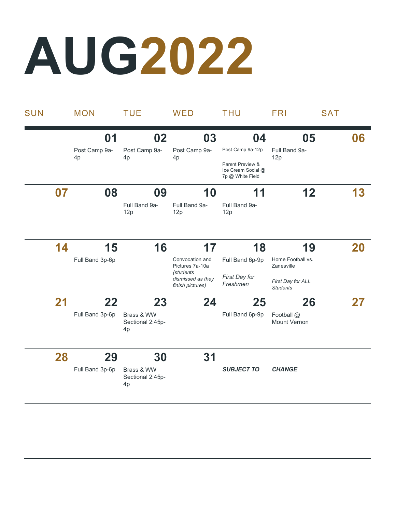## **AUG2022**

| <b>SUN</b> |    | <b>MON</b>                | <b>TUE</b>                                 | <b>WED</b>                                         | <b>THU</b>                                 | <b>FRI</b>                            | <b>SAT</b> |
|------------|----|---------------------------|--------------------------------------------|----------------------------------------------------|--------------------------------------------|---------------------------------------|------------|
|            |    | 01<br>Post Camp 9a-<br>4p | 02<br>Post Camp 9a-<br>4p                  | 03<br>Post Camp 9a-<br>4 <sub>p</sub>              | 04<br>Post Camp 9a-12p<br>Parent Preview & | 05<br>Full Band 9a-<br>12p            | 06         |
|            |    |                           |                                            |                                                    | Ice Cream Social @<br>7p @ White Field     |                                       |            |
|            | 07 | 08                        | 09<br>Full Band 9a-<br>12p                 | 10<br>Full Band 9a-<br>12p                         | 11<br>Full Band 9a-<br>12p                 | 12                                    | 13         |
|            | 14 | 15<br>Full Band 3p-6p     | 16                                         | 17<br>Convocation and<br>Pictures 7a-10a           | 18<br>Full Band 6p-9p                      | 19<br>Home Football vs.<br>Zanesville | 20         |
|            |    |                           |                                            | (students<br>dismissed as they<br>finish pictures) | First Day for<br>Freshmen                  | First Day for ALL<br><b>Students</b>  |            |
|            | 21 | 22<br>Full Band 3p-6p     | 23<br>Brass & WW<br>Sectional 2:45p-<br>4p | 24                                                 | 25<br>Full Band 6p-9p                      | 26<br>Football @<br>Mount Vernon      | 27         |
|            | 28 | 29<br>Full Band 3p-6p     | 30<br>Brass & WW<br>Sectional 2:45p-<br>4p | 31                                                 | <b>SUBJECT TO</b>                          | <b>CHANGE</b>                         |            |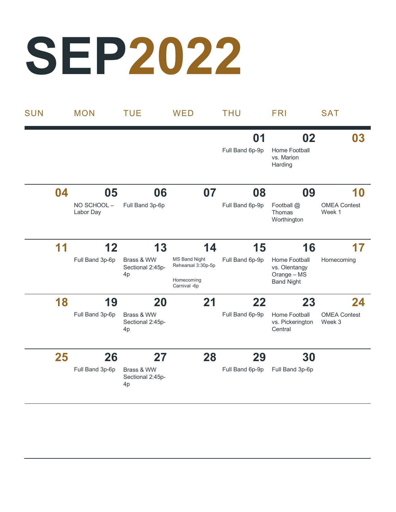# **SEP2022**

| <b>SUN</b> |    | <b>MON</b>              | <b>TUE</b>                                       | WED                                                                      | <b>THU</b>            | <b>FRI</b>                                                         | <b>SAT</b>                    |
|------------|----|-------------------------|--------------------------------------------------|--------------------------------------------------------------------------|-----------------------|--------------------------------------------------------------------|-------------------------------|
|            |    |                         |                                                  |                                                                          | 01<br>Full Band 6p-9p | 02<br>Home Football<br>vs. Marion<br>Harding                       | 03                            |
|            | 04 | 05                      | 06                                               | 07                                                                       | 08                    | 09                                                                 | 10                            |
|            |    | NO SCHOOL-<br>Labor Day | Full Band 3p-6p                                  |                                                                          | Full Band 6p-9p       | Football @<br>Thomas<br>Worthington                                | <b>OMEA Contest</b><br>Week 1 |
|            | 11 | 12                      | 13                                               | 14                                                                       | 15                    | 16                                                                 | 17                            |
|            |    | Full Band 3p-6p         | Brass & WW<br>Sectional 2:45p-<br>4p             | <b>MS Band Night</b><br>Rehearsal 3:30p-5p<br>Homecoming<br>Carnival -6p | Full Band 6p-9p       | Home Football<br>vs. Olentangy<br>Orange - MS<br><b>Band Night</b> | Homecoming                    |
|            | 18 | 19                      | 20                                               | 21                                                                       | 22                    | 23                                                                 | 24                            |
|            |    | Full Band 3p-6p         | Brass & WW<br>Sectional 2:45p-<br>4p             |                                                                          | Full Band 6p-9p       | Home Football<br>vs. Pickerington<br>Central                       | <b>OMEA Contest</b><br>Week 3 |
|            | 25 | 26                      | 27                                               | 28                                                                       | 29                    | 30                                                                 |                               |
|            |    | Full Band 3p-6p         | Brass & WW<br>Sectional 2:45p-<br>4 <sub>p</sub> |                                                                          | Full Band 6p-9p       | Full Band 3p-6p                                                    |                               |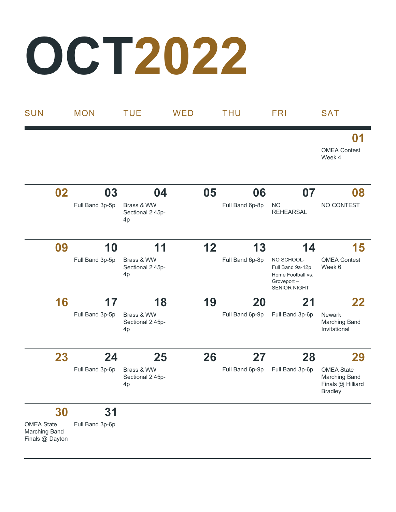#### **OCT2022**

Finals @ Dayton

| <b>SUN</b>                                | <b>MON</b>      | <b>TUE</b>                           | WED |    | <b>THU</b>      | <b>FRI</b>                                                                               | <b>SAT</b>                                                                |
|-------------------------------------------|-----------------|--------------------------------------|-----|----|-----------------|------------------------------------------------------------------------------------------|---------------------------------------------------------------------------|
|                                           |                 |                                      |     |    |                 |                                                                                          | 01<br><b>OMEA Contest</b><br>Week 4                                       |
| 02                                        | 03              | 04                                   |     | 05 | 06              | 07                                                                                       | 08                                                                        |
|                                           | Full Band 3p-5p | Brass & WW<br>Sectional 2:45p-<br>4p |     |    | Full Band 6p-8p | <b>NO</b><br><b>REHEARSAL</b>                                                            | NO CONTEST                                                                |
| 09                                        | 10              | 11                                   |     | 12 | 13              | 14                                                                                       | 15                                                                        |
|                                           | Full Band 3p-5p | Brass & WW<br>Sectional 2:45p-<br>4p |     |    | Full Band 6p-8p | NO SCHOOL-<br>Full Band 9a-12p<br>Home Football vs.<br>Groveport-<br><b>SENIOR NIGHT</b> | <b>OMEA Contest</b><br>Week 6                                             |
| 16                                        | 17              | 18                                   |     | 19 | 20              | 21                                                                                       | 22                                                                        |
|                                           | Full Band 3p-5p | Brass & WW<br>Sectional 2:45p-<br>4p |     |    | Full Band 6p-9p | Full Band 3p-6p                                                                          | <b>Newark</b><br><b>Marching Band</b><br>Invitational                     |
| 23                                        | 24              | 25                                   |     | 26 | 27              | 28                                                                                       | 29                                                                        |
|                                           | Full Band 3p-6p | Brass & WW<br>Sectional 2:45p-<br>4p |     |    | Full Band 6p-9p | Full Band 3p-6p                                                                          | <b>OMEA State</b><br>Marching Band<br>Finals @ Hilliard<br><b>Bradley</b> |
| 30                                        | 31              |                                      |     |    |                 |                                                                                          |                                                                           |
| <b>OMEA State</b><br><b>Marching Band</b> | Full Band 3p-6p |                                      |     |    |                 |                                                                                          |                                                                           |